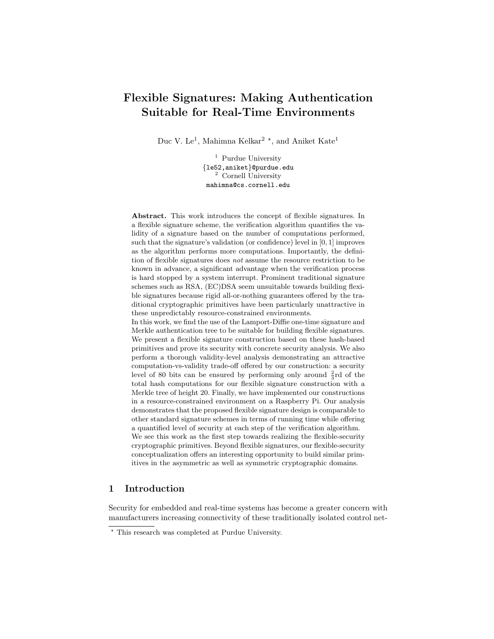# Flexible Signatures: Making Authentication Suitable for Real-Time Environments

Duc V. Le<sup>1</sup>, Mahimna Kelkar<sup>2</sup><sup>\*</sup>, and Aniket Kate<sup>1</sup>

<sup>1</sup> Purdue University {le52,aniket}@purdue.edu <sup>2</sup> Cornell University mahimna@cs.cornell.edu

Abstract. This work introduces the concept of flexible signatures. In a flexible signature scheme, the verification algorithm quantifies the validity of a signature based on the number of computations performed, such that the signature's validation (or confidence) level in [0, 1] improves as the algorithm performs more computations. Importantly, the definition of flexible signatures does not assume the resource restriction to be known in advance, a significant advantage when the verification process is hard stopped by a system interrupt. Prominent traditional signature schemes such as RSA, (EC)DSA seem unsuitable towards building flexible signatures because rigid all-or-nothing guarantees offered by the traditional cryptographic primitives have been particularly unattractive in these unpredictably resource-constrained environments. In this work, we find the use of the Lamport-Diffie one-time signature and Merkle authentication tree to be suitable for building flexible signatures. We present a flexible signature construction based on these hash-based primitives and prove its security with concrete security analysis. We also perform a thorough validity-level analysis demonstrating an attractive computation-vs-validity trade-off offered by our construction: a security level of 80 bits can be ensured by performing only around  $\frac{2}{3}$ rd of the total hash computations for our flexible signature construction with a Merkle tree of height 20. Finally, we have implemented our constructions in a resource-constrained environment on a Raspberry Pi. Our analysis demonstrates that the proposed flexible signature design is comparable to other standard signature schemes in terms of running time while offering a quantified level of security at each step of the verification algorithm. We see this work as the first step towards realizing the flexible-security cryptographic primitives. Beyond flexible signatures, our flexible-security conceptualization offers an interesting opportunity to build similar primitives in the asymmetric as well as symmetric cryptographic domains.

# 1 Introduction

Security for embedded and real-time systems has become a greater concern with manufacturers increasing connectivity of these traditionally isolated control net-

<sup>?</sup> This research was completed at Purdue University.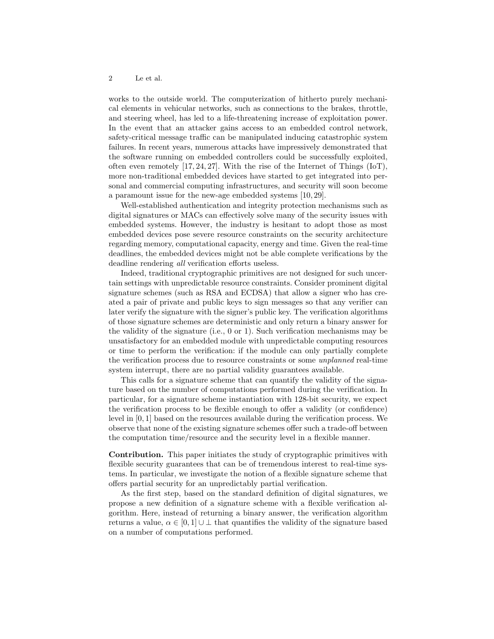works to the outside world. The computerization of hitherto purely mechanical elements in vehicular networks, such as connections to the brakes, throttle, and steering wheel, has led to a life-threatening increase of exploitation power. In the event that an attacker gains access to an embedded control network, safety-critical message traffic can be manipulated inducing catastrophic system failures. In recent years, numerous attacks have impressively demonstrated that the software running on embedded controllers could be successfully exploited, often even remotely  $[17, 24, 27]$ . With the rise of the Internet of Things  $(IoT)$ , more non-traditional embedded devices have started to get integrated into personal and commercial computing infrastructures, and security will soon become a paramount issue for the new-age embedded systems [10, 29].

Well-established authentication and integrity protection mechanisms such as digital signatures or MACs can effectively solve many of the security issues with embedded systems. However, the industry is hesitant to adopt those as most embedded devices pose severe resource constraints on the security architecture regarding memory, computational capacity, energy and time. Given the real-time deadlines, the embedded devices might not be able complete verifications by the deadline rendering all verification efforts useless.

Indeed, traditional cryptographic primitives are not designed for such uncertain settings with unpredictable resource constraints. Consider prominent digital signature schemes (such as RSA and ECDSA) that allow a signer who has created a pair of private and public keys to sign messages so that any verifier can later verify the signature with the signer's public key. The verification algorithms of those signature schemes are deterministic and only return a binary answer for the validity of the signature (i.e., 0 or 1). Such verification mechanisms may be unsatisfactory for an embedded module with unpredictable computing resources or time to perform the verification: if the module can only partially complete the verification process due to resource constraints or some unplanned real-time system interrupt, there are no partial validity guarantees available.

This calls for a signature scheme that can quantify the validity of the signature based on the number of computations performed during the verification. In particular, for a signature scheme instantiation with 128-bit security, we expect the verification process to be flexible enough to offer a validity (or confidence) level in [0, 1] based on the resources available during the verification process. We observe that none of the existing signature schemes offer such a trade-off between the computation time/resource and the security level in a flexible manner.

Contribution. This paper initiates the study of cryptographic primitives with flexible security guarantees that can be of tremendous interest to real-time systems. In particular, we investigate the notion of a flexible signature scheme that offers partial security for an unpredictably partial verification.

As the first step, based on the standard definition of digital signatures, we propose a new definition of a signature scheme with a flexible verification algorithm. Here, instead of returning a binary answer, the verification algorithm returns a value,  $\alpha \in [0,1] \cup \bot$  that quantifies the validity of the signature based on a number of computations performed.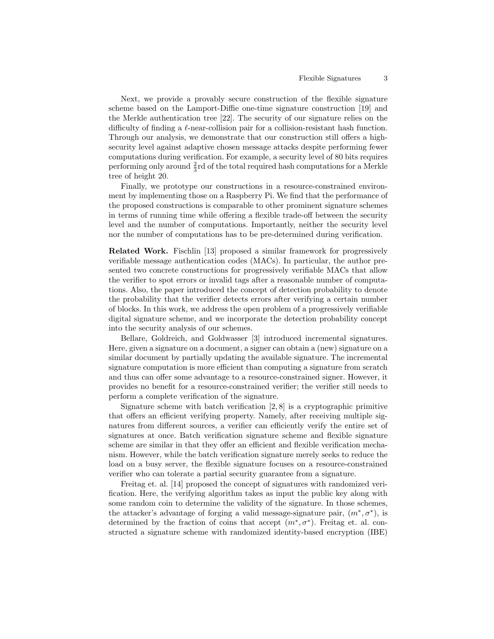Next, we provide a provably secure construction of the flexible signature scheme based on the Lamport-Diffie one-time signature construction [19] and the Merkle authentication tree [22]. The security of our signature relies on the difficulty of finding a  $\ell$ -near-collision pair for a collision-resistant hash function. Through our analysis, we demonstrate that our construction still offers a highsecurity level against adaptive chosen message attacks despite performing fewer computations during verification. For example, a security level of 80 bits requires performing only around  $\frac{2}{3}$ rd of the total required hash computations for a Merkle tree of height 20.

Finally, we prototype our constructions in a resource-constrained environment by implementing those on a Raspberry Pi. We find that the performance of the proposed constructions is comparable to other prominent signature schemes in terms of running time while offering a flexible trade-off between the security level and the number of computations. Importantly, neither the security level nor the number of computations has to be pre-determined during verification.

Related Work. Fischlin [13] proposed a similar framework for progressively verifiable message authentication codes (MACs). In particular, the author presented two concrete constructions for progressively verifiable MACs that allow the verifier to spot errors or invalid tags after a reasonable number of computations. Also, the paper introduced the concept of detection probability to denote the probability that the verifier detects errors after verifying a certain number of blocks. In this work, we address the open problem of a progressively verifiable digital signature scheme, and we incorporate the detection probability concept into the security analysis of our schemes.

Bellare, Goldreich, and Goldwasser [3] introduced incremental signatures. Here, given a signature on a document, a signer can obtain a (new) signature on a similar document by partially updating the available signature. The incremental signature computation is more efficient than computing a signature from scratch and thus can offer some advantage to a resource-constrained signer. However, it provides no benefit for a resource-constrained verifier; the verifier still needs to perform a complete verification of the signature.

Signature scheme with batch verification  $[2, 8]$  is a cryptographic primitive that offers an efficient verifying property. Namely, after receiving multiple signatures from different sources, a verifier can efficiently verify the entire set of signatures at once. Batch verification signature scheme and flexible signature scheme are similar in that they offer an efficient and flexible verification mechanism. However, while the batch verification signature merely seeks to reduce the load on a busy server, the flexible signature focuses on a resource-constrained verifier who can tolerate a partial security guarantee from a signature.

Freitag et. al. [14] proposed the concept of signatures with randomized verification. Here, the verifying algorithm takes as input the public key along with some random coin to determine the validity of the signature. In those schemes, the attacker's advantage of forging a valid message-signature pair,  $(m^*, \sigma^*)$ , is determined by the fraction of coins that accept  $(m^*, \sigma^*)$ . Freitag et. al. constructed a signature scheme with randomized identity-based encryption (IBE)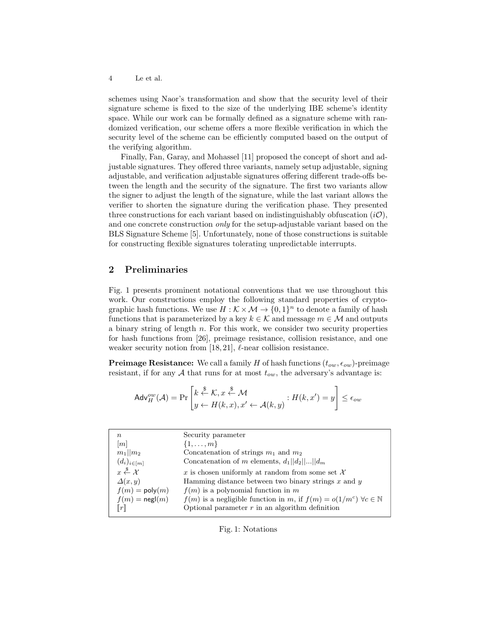schemes using Naor's transformation and show that the security level of their signature scheme is fixed to the size of the underlying IBE scheme's identity space. While our work can be formally defined as a signature scheme with randomized verification, our scheme offers a more flexible verification in which the security level of the scheme can be efficiently computed based on the output of the verifying algorithm.

Finally, Fan, Garay, and Mohassel [11] proposed the concept of short and adjustable signatures. They offered three variants, namely setup adjustable, signing adjustable, and verification adjustable signatures offering different trade-offs between the length and the security of the signature. The first two variants allow the signer to adjust the length of the signature, while the last variant allows the verifier to shorten the signature during the verification phase. They presented three constructions for each variant based on indistinguishably obfuscation  $(i\mathcal{O})$ , and one concrete construction only for the setup-adjustable variant based on the BLS Signature Scheme [5]. Unfortunately, none of those constructions is suitable for constructing flexible signatures tolerating unpredictable interrupts.

### 2 Preliminaries

Fig. 1 presents prominent notational conventions that we use throughout this work. Our constructions employ the following standard properties of cryptographic hash functions. We use  $H : \mathcal{K} \times \mathcal{M} \to \{0,1\}^n$  to denote a family of hash functions that is parameterized by a key  $k \in \mathcal{K}$  and message  $m \in \mathcal{M}$  and outputs a binary string of length n. For this work, we consider two security properties for hash functions from [26], preimage resistance, collision resistance, and one weaker security notion from [18, 21],  $\ell$ -near collision resistance.

**Preimage Resistance:** We call a family H of hash functions  $(t_{ow}, \epsilon_{ow})$ -preimage resistant, if for any  $A$  that runs for at most  $t_{ow}$ , the adversary's advantage is:

$$
\mathsf{Adv}^{ow}_{H}(\mathcal{A})=\Pr\left[k\xleftarrow{\$}\mathcal{K},x\xleftarrow{\$}\mathcal{M}\\y\leftarrow H(k,x),x'\leftarrow\mathcal{A}(k,y):\quad H(k,x')=y\right]\leq\epsilon_{ow}
$$

| $\boldsymbol{n}$                          | Security parameter                                                                    |
|-------------------------------------------|---------------------------------------------------------------------------------------|
| m                                         | $\{1,\ldots,m\}$                                                                      |
| $m_1$    $m_2$                            | Concatenation of strings $m_1$ and $m_2$                                              |
| $(d_i)_{i \in [m]}$                       | Concatenation of m elements, $d_1  d_2    d_m$                                        |
| $x \stackrel{\$}{\leftarrow} \mathcal{X}$ | x is chosen uniformly at random from some set $\mathcal X$                            |
| $\Delta(x,y)$                             | Hamming distance between two binary strings $x$ and $y$                               |
| $f(m) = \text{poly}(m)$                   | $f(m)$ is a polynomial function in m                                                  |
| $f(m) = \text{negl}(m)$                   | $f(m)$ is a negligible function in m, if $f(m) = o(1/m^c)$ $\forall c \in \mathbb{N}$ |
| $\llbracket r \rrbracket$                 | Optional parameter $r$ in an algorithm definition                                     |

#### Fig. 1: Notations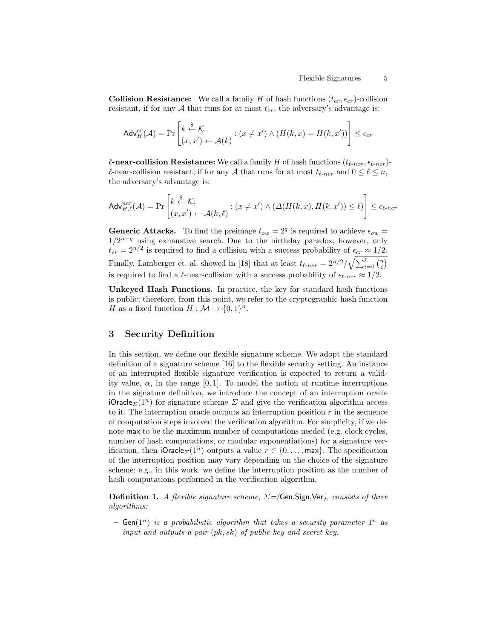**Collision Resistance:** We call a family H of hash functions  $(t_{cr}, \epsilon_{cr})$ -collision resistant, if for any  $A$  that runs for at most  $t_{cr}$ , the adversary's advantage is:

$$
\mathsf{Adv}^{cr}_H(\mathcal{A})=\Pr\left[k\stackrel{\$}{\leftarrow}\mathcal{K}\\ (x,x')\leftarrow\mathcal{A}(k)\end{array}:\left(x\neq x'\right)\wedge\left(H(k,x)=H(k,x')\right)\right]\leq\epsilon_{cr}
$$

 $\ell$ **-near-collision Resistance:** We call a family H of hash functions  $(t_{\ell-ncr}, \epsilon_{\ell-ncr})$ - $\ell$ -near-collision resistant, if for any A that runs for at most  $t_{\ell-ncr}$  and  $0 \leq \ell \leq n$ , the adversary's advantage is:

$$
\mathsf{Adv}_{H,\ell}^{ncr}(\mathcal{A}) = \Pr\left[ k \stackrel{\$}{\leftarrow} \mathcal{K}; \\ (x,x') \leftarrow \mathcal{A}(k,\ell) \right. : (x \neq x') \wedge (\varDelta(H(k,x),H(k,x')) \leq \ell) \right] \leq \epsilon_{\ell-ncr}
$$

**Generic Attacks.** To find the preimage  $t_{ow} = 2^q$  is required to achieve  $\epsilon_{ow} =$  $1/2^{n-q}$  using exhaustive search. Due to the birthday paradox, however, only  $t_{cr} = 2^{n/2}$  is required to find a collision with a success probability of  $\epsilon_{cr} \approx 1/2$ . Finally, Lamberger et. al. showed in [18] that at least  $t_{\ell-ncr} = 2^{n/2}/\sqrt{\sum_{i=0}^{\ell} {n \choose i}}$ is required to find a  $\ell$ -near-collision with a success probability of  $\epsilon_{\ell-ncr} \approx 1/2$ .

Unkeyed Hash Functions. In practice, the key for standard hash functions is public; therefore, from this point, we refer to the cryptographic hash function H as a fixed function  $H : \mathcal{M} \to \{0, 1\}^n$ .

### 3 Security Definition

In this section, we define our flexible signature scheme. We adopt the standard definition of a signature scheme [16] to the flexible security setting. An instance of an interrupted flexible signature verification is expected to return a validity value,  $\alpha$ , in the range [0, 1]. To model the notion of runtime interruptions in the signature definition, we introduce the concept of an interruption oracle iOracle<sub> $\Sigma$ </sub>(1<sup>n</sup>) for signature scheme  $\Sigma$  and give the verification algorithm access to it. The interruption oracle outputs an interruption position  $r$  in the sequence of computation steps involved the verification algorithm. For simplicity, if we denote max to be the maximum number of computations needed (e.g. clock cycles, number of hash computations, or modular exponentiations) for a signature verification, then  $iO$ racle $\sum T^n$  outputs a value  $r \in \{0, \ldots, \max\}$ . The specification of the interruption position may vary depending on the choice of the signature scheme; e.g., in this work, we define the interruption position as the number of hash computations performed in the verification algorithm.

**Definition 1.** A flexible signature scheme,  $\Sigma =$  (Gen, Sign, Ver), consists of three algorithms:

 $-$  Gen(1<sup>n</sup>) is a probabilistic algorithm that takes a security parameter 1<sup>n</sup> as input and outputs a pair  $(pk, sk)$  of public key and secret key.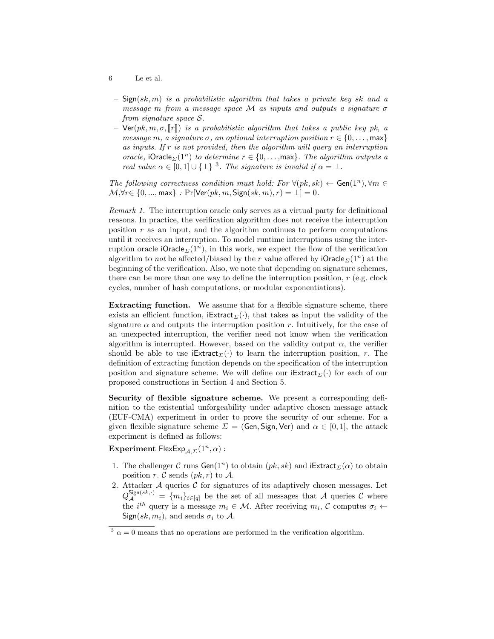- 6 Le et al.
	- $-$  Sign(sk, m) is a probabilistic algorithm that takes a private key sk and a message m from a message space M as inputs and outputs a signature  $\sigma$ from signature space  $S$ .
	- $\text{Ver}(pk, m, \sigma, \llbracket r \rrbracket)$  is a probabilistic algorithm that takes a public key pk, a message m, a signature  $\sigma$ , an optional interruption position  $r \in \{0, \ldots, \text{max}\}\$ as inputs. If r is not provided, then the algorithm will query an interruption oracle, iOracle $\sum_{\mathcal{L}}(1^n)$  to determine  $r \in \{0, \ldots, \text{max}\}\$ . The algorithm outputs a real value  $\alpha \in [0,1] \cup \{\perp\}$ <sup>3</sup>. The signature is invalid if  $\alpha = \perp$ .

The following correctness condition must hold: For  $\forall (pk, sk) \leftarrow Gen(1^n), \forall m \in$  $\mathcal{M}, \forall r \in \{0, ..., \max\} : \Pr[\text{Ver}(pk, m, \text{Sign}(sk, m), r) = \bot] = 0.$ 

Remark 1. The interruption oracle only serves as a virtual party for definitional reasons. In practice, the verification algorithm does not receive the interruption position  $r$  as an input, and the algorithm continues to perform computations until it receives an interruption. To model runtime interruptions using the interruption oracle iOracle<sub> $\Sigma$ </sub>(1<sup>n</sup>), in this work, we expect the flow of the verification algorithm to *not* be affected/biased by the r value offered by iOracle<sub> $\Sigma$ </sub>(1<sup>n</sup>) at the beginning of the verification. Also, we note that depending on signature schemes, there can be more than one way to define the interruption position,  $r$  (e.g. clock cycles, number of hash computations, or modular exponentiations).

Extracting function. We assume that for a flexible signature scheme, there exists an efficient function,  $\text{if.}(\cdot)$ , that takes as input the validity of the signature  $\alpha$  and outputs the interruption position r. Intuitively, for the case of an unexpected interruption, the verifier need not know when the verification algorithm is interrupted. However, based on the validity output  $\alpha$ , the verifier should be able to use  $\operatorname{if.}(\cdot)$  to learn the interruption position, r. The definition of extracting function depends on the specification of the interruption position and signature scheme. We will define our iExtract<sub> $\Sigma(\cdot)$ </sub> for each of our proposed constructions in Section 4 and Section 5.

Security of flexible signature scheme. We present a corresponding definition to the existential unforgeability under adaptive chosen message attack (EUF-CMA) experiment in order to prove the security of our scheme. For a given flexible signature scheme  $\Sigma = (Gen, Sign, Ver)$  and  $\alpha \in [0,1]$ , the attack experiment is defined as follows:

Experiment FlexExp<sub>A</sub><sub> $\Sigma$ </sub> $(1^n, \alpha)$  :

- 1. The challenger C runs  $Gen(1^n)$  to obtain  $(pk, sk)$  and  $IExtract_{\Sigma}(\alpha)$  to obtain position r.  $\mathcal C$  sends  $(pk, r)$  to  $\mathcal A$ .
- 2. Attacker  $A$  queries  $C$  for signatures of its adaptively chosen messages. Let  $Q_{\mathcal{A}}^{\mathsf{Sign}(sk,\cdot)} = \{m_i\}_{i \in [q]}$  be the set of all messages that A queries C where the *i*<sup>th</sup> query is a message  $m_i \in \mathcal{M}$ . After receiving  $m_i$ , C computes  $\sigma_i \leftarrow$  $Sign(sk, m_i)$ , and sends  $\sigma_i$  to A.

<sup>&</sup>lt;sup>3</sup>  $\alpha = 0$  means that no operations are performed in the verification algorithm.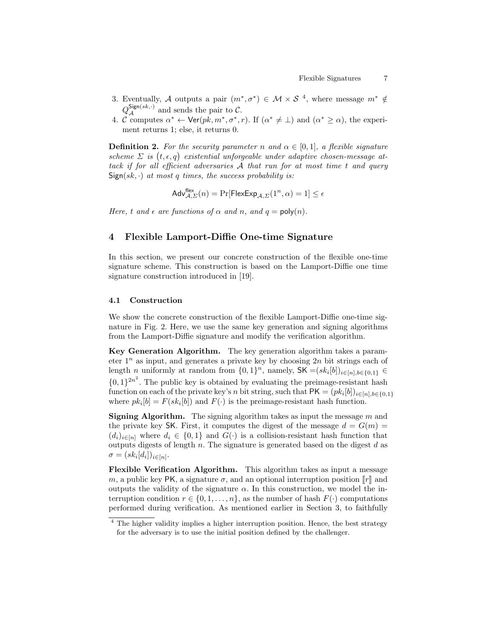- 3. Eventually, A outputs a pair  $(m^*, \sigma^*) \in \mathcal{M} \times S^{4}$ , where message  $m^* \notin$  $Q_{\mathcal{A}}^{\mathsf{Sign}(sk,\cdot)}$  and sends the pair to  $\mathcal{C}$ .
- 4. C computes  $\alpha^* \leftarrow \text{Ver}(pk, m^*, \sigma^*, r)$ . If  $(\alpha^* \neq \bot)$  and  $(\alpha^* \geq \alpha)$ , the experiment returns 1; else, it returns 0.

**Definition 2.** For the security parameter n and  $\alpha \in [0,1]$ , a flexible signature scheme  $\Sigma$  is  $(t, \epsilon, q)$  existential unforgeable under adaptive chosen-message attack if for all efficient adversaries A that run for at most time t and query  $Sign(sk, \cdot)$  at most q times, the success probability is:

$$
\mathsf{Adv}_{\mathcal{A},\varSigma}^{\mathsf{flex}}(n) = \Pr[\mathsf{FlexExp}_{\mathcal{A},\varSigma}(1^n,\alpha) = 1] \leq \epsilon
$$

Here, t and  $\epsilon$  are functions of  $\alpha$  and  $n$ , and  $q = \text{poly}(n)$ .

### 4 Flexible Lamport-Diffie One-time Signature

In this section, we present our concrete construction of the flexible one-time signature scheme. This construction is based on the Lamport-Diffie one time signature construction introduced in [19].

#### 4.1 Construction

We show the concrete construction of the flexible Lamport-Diffie one-time signature in Fig. 2. Here, we use the same key generation and signing algorithms from the Lamport-Diffie signature and modify the verification algorithm.

Key Generation Algorithm. The key generation algorithm takes a parameter  $1^n$  as input, and generates a private key by choosing  $2n$  bit strings each of length *n* uniformly at random from  $\{0,1\}^n$ , namely,  $SK = (sk_i[b])_{i \in [n], b \in \{0,1\}}$  $\{0,1\}^{2n^2}$ . The public key is obtained by evaluating the preimage-resistant hash function on each of the private key's *n* bit string, such that  $\mathsf{PK} = (pk_i[b])_{i \in [n], b \in \{0,1\}}$ where  $pk_i[b] = F(sk_i[b])$  and  $F(\cdot)$  is the preimage-resistant hash function.

**Signing Algorithm.** The signing algorithm takes as input the message  $m$  and the private key SK. First, it computes the digest of the message  $d = G(m)$  $(d_i)_{i\in[n]}$  where  $d_i \in \{0,1\}$  and  $G(\cdot)$  is a collision-resistant hash function that outputs digests of length  $n$ . The signature is generated based on the digest  $d$  as  $\sigma = (sk_i[d_i])_{i \in [n]}.$ 

Flexible Verification Algorithm. This algorithm takes as input a message m, a public key PK, a signature  $\sigma$ , and an optional interruption position  $\llbracket r \rrbracket$  and outputs the validity of the signature  $\alpha$ . In this construction, we model the interruption condition  $r \in \{0, 1, \ldots, n\}$ , as the number of hash  $F(\cdot)$  computations performed during verification. As mentioned earlier in Section 3, to faithfully

<sup>&</sup>lt;sup>4</sup> The higher validity implies a higher interruption position. Hence, the best strategy for the adversary is to use the initial position defined by the challenger.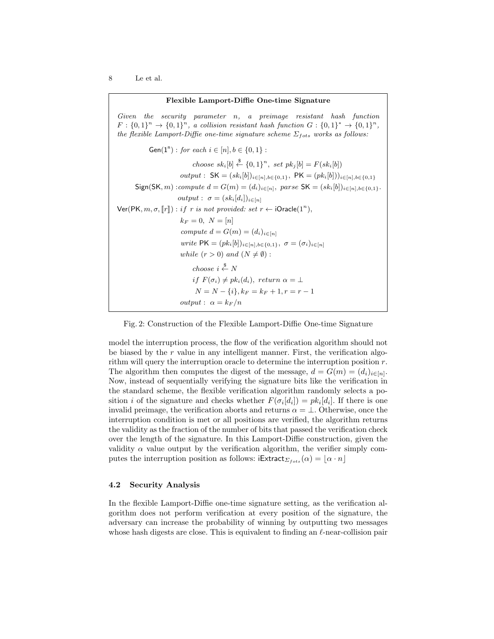#### Flexible Lamport-Diffie One-time Signature

Given the security parameter n, a preimage resistant hash function  $F: \{0,1\}^n \to \{0,1\}^n$ , a collision resistant hash function  $G: \{0,1\}^* \to \{0,1\}^n$ , the flexible Lamport-Diffie one-time signature scheme  $\Sigma_{\text{fots}}$  works as follows:  $Gen(1^n) : for each  $i \in [n], b \in \{0, 1\}$ :$ choose  $sk_i[b] \stackrel{\$}{\leftarrow} \{0,1\}^n$ , set  $pk_j[b] = F(sk_i[b])$ output :  $SK = (sk_i[b])_{i \in [n], b \in \{0,1\}}, PK = (pk_i[b]))_{i \in [n], b \in \{0,1\}}$  $Sign(SK, m) : compute \ d = G(m) = (d_i)_{i \in [n]}, \ parse \ SK = (sk_i[b])_{i \in [n], b \in \{0,1\}}.$ output :  $\sigma = (sk_i[d_i])_{i \in [n]}$  $\mathsf{Ver}(\mathsf{PK}, m, \sigma, [\![r]\!]) : if \; r \; is \; not \; provided: \; set \; r \leftarrow \mathsf{iOracle}(1^n),$  $k_F = 0, N = [n]$ compute  $d = G(m) = (d_i)_{i \in [n]}$ *write* PK =  $(pk_i[b])_{i \in [n], b \in \{0,1\}}, \sigma = (\sigma_i)_{i \in [n]}$ while  $(r > 0)$  and  $(N \neq \emptyset)$ : choose  $i \overset{\$}{\leftarrow} N$ if  $F(\sigma_i) \neq pk_i(d_i)$ , return  $\alpha = \perp$  $N = N - \{i\}, k_F = k_F + 1, r = r - 1$ output :  $\alpha = k_F/n$ 

Fig. 2: Construction of the Flexible Lamport-Diffie One-time Signature

model the interruption process, the flow of the verification algorithm should not be biased by the  $r$  value in any intelligent manner. First, the verification algorithm will query the interruption oracle to determine the interruption position  $r$ . The algorithm then computes the digest of the message,  $d = G(m) = (d_i)_{i \in [n]}$ . Now, instead of sequentially verifying the signature bits like the verification in the standard scheme, the flexible verification algorithm randomly selects a position *i* of the signature and checks whether  $F(\sigma_i[d_i]) = pk_i[d_i]$ . If there is one invalid preimage, the verification aborts and returns  $\alpha = \perp$ . Otherwise, once the interruption condition is met or all positions are verified, the algorithm returns the validity as the fraction of the number of bits that passed the verification check over the length of the signature. In this Lamport-Diffie construction, given the validity  $\alpha$  value output by the verification algorithm, the verifier simply computes the interruption position as follows:  $\text{if.}$   $\text{if.}$  $\alpha = [\alpha \cdot n]$ 

#### 4.2 Security Analysis

In the flexible Lamport-Diffie one-time signature setting, as the verification algorithm does not perform verification at every position of the signature, the adversary can increase the probability of winning by outputting two messages whose hash digests are close. This is equivalent to finding an  $\ell$ -near-collision pair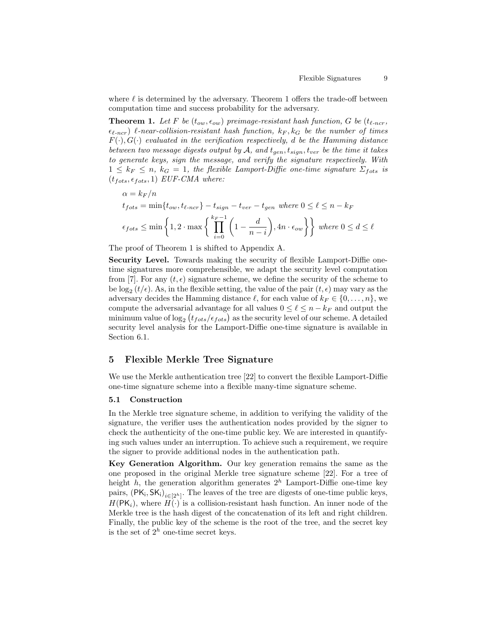where  $\ell$  is determined by the adversary. Theorem 1 offers the trade-off between computation time and success probability for the adversary.

**Theorem 1.** Let F be  $(t_{ow}, \epsilon_{ow})$  preimage-resistant hash function, G be  $(t_{\ell-ncr},$  $\epsilon_{\ell-ncr}$ )  $\ell$ -near-collision-resistant hash function,  $k_F, k_G$  be the number of times  $F(\cdot), G(\cdot)$  evaluated in the verification respectively, d be the Hamming distance between two message digests output by A, and  $t_{gen}$ ,  $t_{sign}$ ,  $t_{ver}$  be the time it takes to generate keys, sign the message, and verify the signature respectively. With  $1 \leq k_F \leq n$ ,  $k_G = 1$ , the flexible Lamport-Diffie one-time signature  $\Sigma_{fots}$  is  $(t_{fots}, \epsilon_{fots}, 1)$  EUF-CMA where:

$$
\alpha = k_F/n
$$
  
\n
$$
t_{fots} = \min\{t_{ow}, t_{\ell-ncr}\} - t_{sign} - t_{ver} - t_{gen} \text{ where } 0 \le \ell \le n - k_F
$$
  
\n
$$
\epsilon_{fots} \le \min\left\{1, 2 \cdot \max\left\{\prod_{i=0}^{k_F-1} \left(1 - \frac{d}{n-i}\right), 4n \cdot \epsilon_{ow}\right\}\right\} \text{ where } 0 \le d \le \ell
$$

The proof of Theorem 1 is shifted to Appendix A.

Security Level. Towards making the security of flexible Lamport-Diffie onetime signatures more comprehensible, we adapt the security level computation from [7]. For any  $(t, \epsilon)$  signature scheme, we define the security of the scheme to be  $\log_2(t/\epsilon)$ . As, in the flexible setting, the value of the pair  $(t,\epsilon)$  may vary as the adversary decides the Hamming distance  $\ell$ , for each value of  $k_F \in \{0, \ldots, n\}$ , we compute the adversarial advantage for all values  $0 \leq \ell \leq n - k_F$  and output the minimum value of log<sub>2</sub>  $\left(t_{fots}/\epsilon_{fots}\right)$  as the security level of our scheme. A detailed security level analysis for the Lamport-Diffie one-time signature is available in Section 6.1.

## 5 Flexible Merkle Tree Signature

We use the Merkle authentication tree [22] to convert the flexible Lamport-Diffie one-time signature scheme into a flexible many-time signature scheme.

#### 5.1 Construction

In the Merkle tree signature scheme, in addition to verifying the validity of the signature, the verifier uses the authentication nodes provided by the signer to check the authenticity of the one-time public key. We are interested in quantifying such values under an interruption. To achieve such a requirement, we require the signer to provide additional nodes in the authentication path.

Key Generation Algorithm. Our key generation remains the same as the one proposed in the original Merkle tree signature scheme [22]. For a tree of height h, the generation algorithm generates  $2<sup>h</sup>$  Lamport-Diffie one-time key pairs,  $(\mathsf{PK}_i, \mathsf{SK}_i)_{i \in [2^h]}$ . The leaves of the tree are digests of one-time public keys,  $H(\mathsf{PK}_i)$ , where  $H(\cdot)$  is a collision-resistant hash function. An inner node of the Merkle tree is the hash digest of the concatenation of its left and right children. Finally, the public key of the scheme is the root of the tree, and the secret key is the set of  $2^h$  one-time secret keys.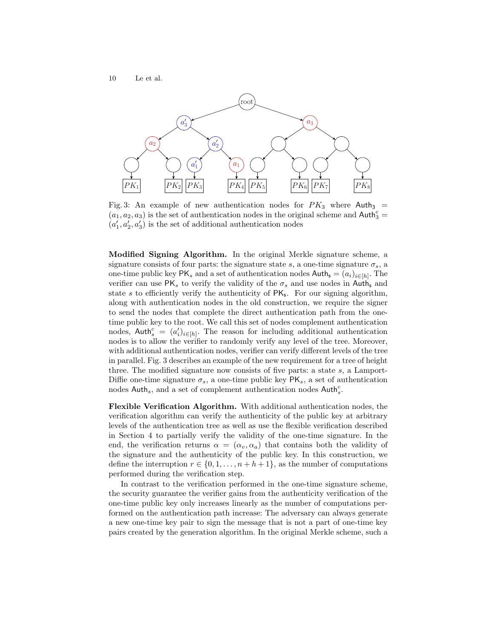

Fig. 3: An example of new authentication nodes for  $PK_3$  where Auth<sub>3</sub> =  $(a_1, a_2, a_3)$  is the set of authentication nodes in the original scheme and  $\text{Auth}_3^c =$  $(a'_1, a'_2, a'_3)$  is the set of additional authentication nodes

Modified Signing Algorithm. In the original Merkle signature scheme, a signature consists of four parts: the signature state s, a one-time signature  $\sigma_s$ , a one-time public key  $PK_s$  and a set of authentication nodes  $\mathsf{Auth_s} = (a_i)_{i \in [h]}$ . The verifier can use  $PK_s$  to verify the validity of the  $\sigma_s$  and use nodes in Auth<sub>s</sub> and state s to efficiently verify the authenticity of  $PK_s$ . For our signing algorithm, along with authentication nodes in the old construction, we require the signer to send the nodes that complete the direct authentication path from the onetime public key to the root. We call this set of nodes complement authentication nodes,  $\text{Aut}_s^c = (a'_i)_{i \in [h]}$ . The reason for including additional authentication nodes is to allow the verifier to randomly verify any level of the tree. Moreover, with additional authentication nodes, verifier can verify different levels of the tree in parallel. Fig. 3 describes an example of the new requirement for a tree of height three. The modified signature now consists of five parts: a state s, a Lamport-Diffie one-time signature  $\sigma_s$ , a one-time public key  $\mathsf{PK}_s$ , a set of authentication nodes  $\mathsf{Auth}_s,$  and a set of complement authentication nodes  $\mathsf{Auth}_s^c.$ 

Flexible Verification Algorithm. With additional authentication nodes, the verification algorithm can verify the authenticity of the public key at arbitrary levels of the authentication tree as well as use the flexible verification described in Section 4 to partially verify the validity of the one-time signature. In the end, the verification returns  $\alpha = (\alpha_v, \alpha_a)$  that contains both the validity of the signature and the authenticity of the public key. In this construction, we define the interruption  $r \in \{0, 1, \ldots, n+h+1\}$ , as the number of computations performed during the verification step.

In contrast to the verification performed in the one-time signature scheme, the security guarantee the verifier gains from the authenticity verification of the one-time public key only increases linearly as the number of computations performed on the authentication path increase: The adversary can always generate a new one-time key pair to sign the message that is not a part of one-time key pairs created by the generation algorithm. In the original Merkle scheme, such a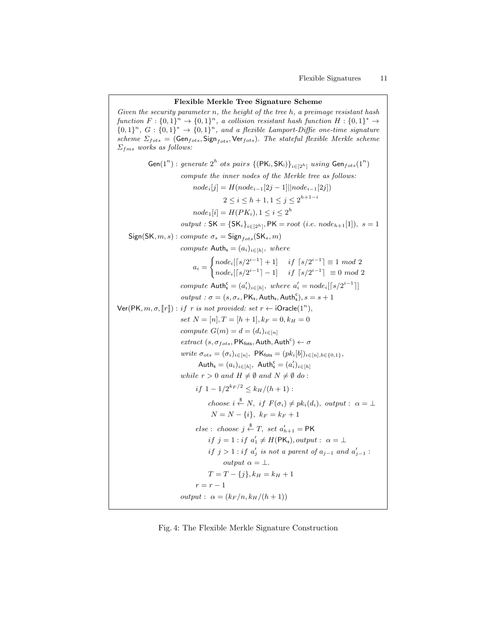#### Flexible Merkle Tree Signature Scheme

Given the security parameter n, the height of the tree h, a preimage resistant hash function  $F: \{0,1\}^n \to \{0,1\}^n$ , a collision resistant hash function  $H: \{0,1\}^* \to$  ${0,1}^n$ ,  $G: {0,1}^* \rightarrow {0,1}^n$ , and a flexible Lamport-Diffie one-time signature scheme  $\Sigma_{fots} = (Gen_{fots}, Sign_{fots}, Ver_{fots})$ . The stateful flexible Merkle scheme  $\Sigma_{fms}$  works as follows:  $\mathsf{Gen}(1^n)$  : generate  $2^h$  ots pairs  $\{(\mathsf{PK}_i, \mathsf{SK}_i)\}_{i \in [2^h]}$  using  $\mathsf{Gen}_{fots}(1^n)$ compute the inner nodes of the Merkle tree as follows:  $node_i[j] = H(node_{i-1}[2j-1]||node_{i-1}[2j])$  $2 \leq i \leq h+1, 1 \leq j \leq 2^{h+1-i}$  $node_1[i] = H(PK_i), 1 \leq i \leq 2^h$ *output* :  $SK = \{SK_i\}_{i \in [2^h]}, PK = root (i.e. node_{h+1}[1]), s = 1$  $Sign(SK, m, s)$ : compute  $\sigma_s = Sign_{fots}(SK_s, m)$ compute  $\mathsf{Auth_s} = (a_i)_{i \in [h]},$  where  $a_i =$  $\int$ node<sub>i</sub> $\lceil s/2^{i-1} \rceil + 1$  if  $\lceil s/2^{i-1} \rceil \equiv 1 \mod 2$  $node_i\left[ \lceil s/2^{i-1} \rceil - 1 \right]$  if  $\left[ s/2^{i-1} \right] \equiv 0 \mod 2$ compute  $\mathsf{Auth}^c_s = (a'_i)_{i \in [h]},$  where  $a'_i = node_i[[s/2^{i-1}]]$  $output: \sigma = (s, \sigma_s, \mathsf{PK}_s, \mathsf{Auth}_s, \mathsf{Auth}_s^c), s = s + 1$  $\text{Ver}(\text{PK}, m, \sigma, [\![r]\!]) : if \text{ } r \text{ is not provided: set } r \leftarrow \text{iOracle}(1^n),$ set  $N = [n], T = [h + 1], k_F = 0, k_H = 0$ compute  $G(m) = d = (d_i)_{i \in [n]}$ extract  $(s, \sigma_{fots}, PK_{fots}, Auth, Auth^c) \leftarrow \sigma$ write  $\sigma_{ots} = (\sigma_i)_{i \in [n]}, \ \mathsf{PK}_{\text{fots}} = (pk_i[b])_{i \in [n], b \in \{0,1\}},$  $\mathsf{Auth_s} = (a_i)_{i \in [h]}, \mathsf{Auth_s^c} = (a'_i)_{i \in [h]}$ while  $r > 0$  and  $H \neq \emptyset$  and  $N \neq \emptyset$  do:  $if 1 - 1/2^{k_F/2} \leq k_H/(h+1):$ choose  $i \stackrel{\$}{\leftarrow} N$ , if  $F(\sigma_i) \neq pk_i(d_i)$ , output :  $\alpha = \bot$  $N = N - \{i\}, k_F = k_F + 1$  $else: choose j \overset{\$}{\leftarrow} T, set a'_{h+1} = \textsf{PK}$ if  $j = 1$ : if  $a'_1 \neq H(\mathsf{PK}_s)$ , output :  $\alpha = \bot$ if  $j > 1$ : if  $a'_j$  is not a parent of  $a_{j-1}$  and  $a'_{j-1}$ : output  $\alpha = \bot$ .  $T = T - \{j\}, k_H = k_H + 1$  $r = r - 1$ output :  $\alpha = (k_F/n, k_H/(h+1))$ 

Fig. 4: The Flexible Merkle Signature Construction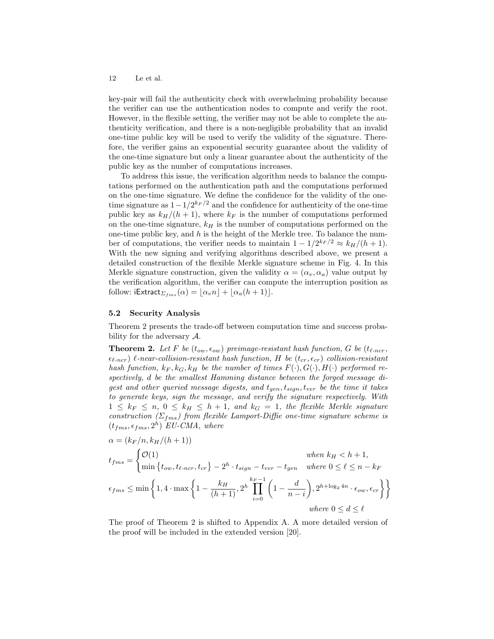key-pair will fail the authenticity check with overwhelming probability because the verifier can use the authentication nodes to compute and verify the root. However, in the flexible setting, the verifier may not be able to complete the authenticity verification, and there is a non-negligible probability that an invalid one-time public key will be used to verify the validity of the signature. Therefore, the verifier gains an exponential security guarantee about the validity of the one-time signature but only a linear guarantee about the authenticity of the public key as the number of computations increases.

To address this issue, the verification algorithm needs to balance the computations performed on the authentication path and the computations performed on the one-time signature. We define the confidence for the validity of the onetime signature as  $1 - 1/2^{k_F/2}$  and the confidence for authenticity of the one-time public key as  $k_H/(h+1)$ , where  $k_F$  is the number of computations performed on the one-time signature,  $k_H$  is the number of computations performed on the one-time public key, and  $h$  is the height of the Merkle tree. To balance the number of computations, the verifier needs to maintain  $1 - 1/2^{k_F/2} \approx k_H/(h+1)$ . With the new signing and verifying algorithms described above, we present a detailed construction of the flexible Merkle signature scheme in Fig. 4. In this Merkle signature construction, given the validity  $\alpha = (\alpha_v, \alpha_a)$  value output by the verification algorithm, the verifier can compute the interruption position as follow:  $\textsf{ifextract}_{\Sigma_{fms}}(\alpha) = \lfloor \alpha_v n \rfloor + \lfloor \alpha_a(h + 1) \rfloor.$ 

#### 5.2 Security Analysis

Theorem 2 presents the trade-off between computation time and success probability for the adversary  $A$ .

**Theorem 2.** Let F be  $(t_{ow}, \epsilon_{ow})$  preimage-resistant hash function, G be  $(t_{\ell-ncr})$  $\epsilon_{\ell-ncr}$ )  $\ell$ -near-collision-resistant hash function, H be  $(t_{cr}, \epsilon_{cr})$  collision-resistant hash function,  $k_F, k_G, k_H$  be the number of times  $F(\cdot), G(\cdot), H(\cdot)$  performed respectively, d be the smallest Hamming distance between the forged message digest and other queried message digests, and  $t_{gen}$ ,  $t_{sign}$ ,  $t_{ver}$  be the time it takes to generate keys, sign the message, and verify the signature respectively. With  $1 \leq k_F \leq n, 0 \leq k_H \leq h+1$ , and  $k_G = 1$ , the flexible Merkle signature construction  $(\Sigma_{fms})$  from flexible Lamport-Diffie one-time signature scheme is  $(t_{fms}, \epsilon_{fms}, 2^h)$  EU-CMA, where

$$
\alpha = (k_F/n, k_H/(h+1))
$$
\n
$$
t_{fms} = \begin{cases}\n\mathcal{O}(1) & \text{when } k_H < h+1, \\
\min\{t_{ow}, t_{\ell-ncr}, t_{cr}\} - 2^h \cdot t_{sign} - t_{ver} - t_{gen} & \text{where } 0 \le \ell \le n - k_F\n\end{cases}
$$
\n
$$
\epsilon_{fms} \le \min\left\{1, 4 \cdot \max\left\{1 - \frac{k_H}{(h+1)}, 2^h \prod_{i=0}^{k_F - 1} \left(1 - \frac{d}{n-i}\right), 2^{h + \log_2 4n} \cdot \epsilon_{ow}, \epsilon_{cr}\right\}\right\}
$$
\n
$$
where \ 0 \le d \le \ell
$$

The proof of Theorem 2 is shifted to Appendix A. A more detailed version of the proof will be included in the extended version [20].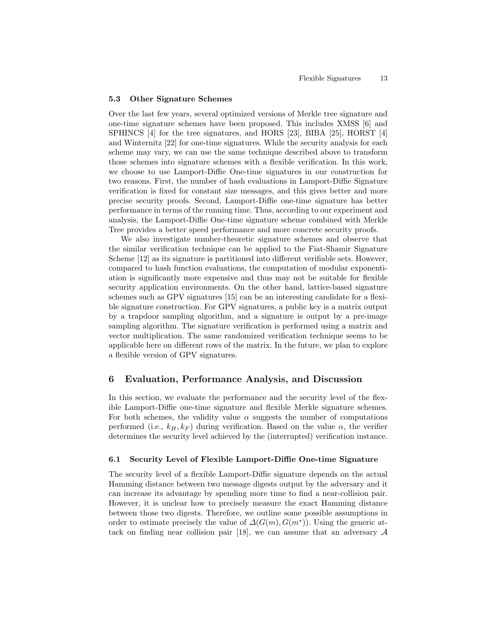#### 5.3 Other Signature Schemes

Over the last few years, several optimized versions of Merkle tree signature and one-time signature schemes have been proposed. This includes XMSS [6] and SPHINCS [4] for the tree signatures, and HORS [23], BIBA [25], HORST [4] and Winternitz [22] for one-time signatures. While the security analysis for each scheme may vary, we can use the same technique described above to transform those schemes into signature schemes with a flexible verification. In this work, we choose to use Lamport-Diffie One-time signatures in our construction for two reasons. First, the number of hash evaluations in Lamport-Diffie Signature verification is fixed for constant size messages, and this gives better and more precise security proofs. Second, Lamport-Diffie one-time signature has better performance in terms of the running time. Thus, according to our experiment and analysis, the Lamport-Diffie One-time signature scheme combined with Merkle Tree provides a better speed performance and more concrete security proofs.

We also investigate number-theoretic signature schemes and observe that the similar verification technique can be applied to the Fiat-Shamir Signature Scheme [12] as its signature is partitioned into different verifiable sets. However, compared to hash function evaluations, the computation of modular exponentiation is significantly more expensive and thus may not be suitable for flexible security application environments. On the other hand, lattice-based signature schemes such as GPV signatures [15] can be an interesting candidate for a flexible signature construction. For GPV signatures, a public key is a matrix output by a trapdoor sampling algorithm, and a signature is output by a pre-image sampling algorithm. The signature verification is performed using a matrix and vector multiplication. The same randomized verification technique seems to be applicable here on different rows of the matrix. In the future, we plan to explore a flexible version of GPV signatures.

# 6 Evaluation, Performance Analysis, and Discussion

In this section, we evaluate the performance and the security level of the flexible Lamport-Diffie one-time signature and flexible Merkle signature schemes. For both schemes, the validity value  $\alpha$  suggests the number of computations performed (i.e.,  $k_H, k_F$ ) during verification. Based on the value  $\alpha$ , the verifier determines the security level achieved by the (interrupted) verification instance.

#### 6.1 Security Level of Flexible Lamport-Diffie One-time Signature

The security level of a flexible Lamport-Diffie signature depends on the actual Hamming distance between two message digests output by the adversary and it can increase its advantage by spending more time to find a near-collision pair. However, it is unclear how to precisely measure the exact Hamming distance between those two digests. Therefore, we outline some possible assumptions in order to estimate precisely the value of  $\Delta(G(m), G(m^*))$ . Using the generic attack on finding near collision pair [18], we can assume that an adversary  $A$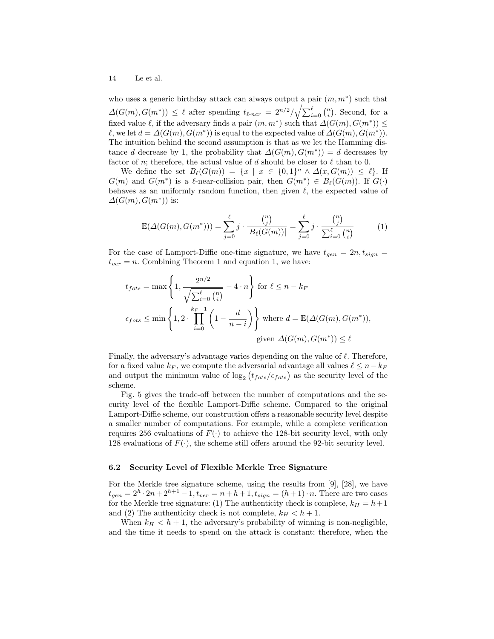who uses a generic birthday attack can always output a pair  $(m, m^*)$  such that  $\Delta(G(m), G(m^*)) \leq \ell$  after spending  $t_{\ell-ncr} = 2^{n/2}/\sqrt{\sum_{i=0}^{\ell} {n \choose i}}$ . Second, for a fixed value  $\ell$ , if the adversary finds a pair  $(m, m^*)$  such that  $\Delta(G(m), G(m^*)) \leq$ l, we let  $d = \Delta(G(m), G(m^*))$  is equal to the expected value of  $\Delta(G(m), G(m^*))$ . The intuition behind the second assumption is that as we let the Hamming distance d decrease by 1, the probability that  $\Delta(G(m), G(m^*)) = d$  decreases by factor of n; therefore, the actual value of d should be closer to  $\ell$  than to 0.

We define the set  $B_{\ell}(G(m)) = \{x \mid x \in \{0,1\}^n \wedge \Delta(x, G(m)) \leq \ell\}.$  If  $G(m)$  and  $G(m^*)$  is a  $\ell$ -near-collision pair, then  $G(m^*) \in B_{\ell}(G(m))$ . If  $G(\cdot)$ behaves as an uniformly random function, then given  $\ell$ , the expected value of  $\Delta(G(m), G(m^*))$  is:

$$
\mathbb{E}(\Delta(G(m), G(m^*))) = \sum_{j=0}^{\ell} j \cdot \frac{\binom{n}{j}}{|B_{\ell}(G(m))|} = \sum_{j=0}^{\ell} j \cdot \frac{\binom{n}{j}}{\sum_{i=0}^{\ell} \binom{n}{i}} \tag{1}
$$

For the case of Lamport-Diffie one-time signature, we have  $t_{gen} = 2n, t_{sign} =$  $t_{ver} = n$ . Combining Theorem 1 and equation 1, we have:

$$
t_{fots} = \max\left\{1, \frac{2^{n/2}}{\sqrt{\sum_{i=0}^{\ell} {n \choose i}}} - 4 \cdot n\right\} \text{ for } \ell \le n - k_F
$$
  

$$
\epsilon_{fots} \le \min\left\{1, 2 \cdot \prod_{i=0}^{k_F - 1} \left(1 - \frac{d}{n - i}\right)\right\} \text{ where } d = \mathbb{E}(\Delta(G(m), G(m^*)),
$$
  
given  $\Delta(G(m), G(m^*)) \le \ell$ 

Finally, the adversary's advantage varies depending on the value of  $\ell$ . Therefore, for a fixed value  $k_F$ , we compute the adversarial advantage all values  $\ell \leq n-k_F$ and output the minimum value of  $\log_2(t_{fots}/\epsilon_{fots})$  as the security level of the scheme.

Fig. 5 gives the trade-off between the number of computations and the security level of the flexible Lamport-Diffie scheme. Compared to the original Lamport-Diffie scheme, our construction offers a reasonable security level despite a smaller number of computations. For example, while a complete verification requires 256 evaluations of  $F(\cdot)$  to achieve the 128-bit security level, with only 128 evaluations of  $F(\cdot)$ , the scheme still offers around the 92-bit security level.

#### 6.2 Security Level of Flexible Merkle Tree Signature

For the Merkle tree signature scheme, using the results from [9], [28], we have  $t_{gen} = 2<sup>h</sup> \cdot 2n + 2<sup>h+1</sup> - 1, t_{ver} = n + h + 1, t_{sign} = (h+1) \cdot n$ . There are two cases for the Merkle tree signature: (1) The authenticity check is complete,  $k_H = h+1$ and (2) The authenticity check is not complete,  $k_H < h + 1$ .

When  $k_H < h + 1$ , the adversary's probability of winning is non-negligible, and the time it needs to spend on the attack is constant; therefore, when the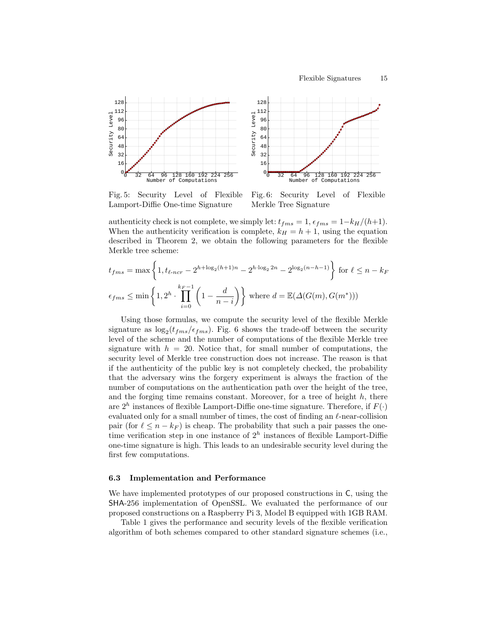

Fig. 5: Security Level of Flexible Lamport-Diffie One-time Signature

Fig. 6: Security Level of Flexible Merkle Tree Signature

authenticity check is not complete, we simply let:  $t_{fms} = 1, \epsilon_{fms} = 1 - k_H/(h+1)$ . When the authenticity verification is complete,  $k_H = h + 1$ , using the equation described in Theorem 2, we obtain the following parameters for the flexible Merkle tree scheme:

$$
t_{fms} = \max\left\{1, t_{\ell-ncr} - 2^{h+\log_2(h+1)n} - 2^{h\cdot\log_2 2n} - 2^{\log_2(n-h-1)}\right\} \text{ for } \ell \le n - k_F
$$
  

$$
\epsilon_{fms} \le \min\left\{1, 2^h \cdot \prod_{i=0}^{k_F-1} \left(1 - \frac{d}{n-i}\right)\right\} \text{ where } d = \mathbb{E}(\Delta(G(m), G(m^*)))
$$

Using those formulas, we compute the security level of the flexible Merkle signature as  $\log_2(t_{fms}/\epsilon_{fms})$ . Fig. 6 shows the trade-off between the security level of the scheme and the number of computations of the flexible Merkle tree signature with  $h = 20$ . Notice that, for small number of computations, the security level of Merkle tree construction does not increase. The reason is that if the authenticity of the public key is not completely checked, the probability that the adversary wins the forgery experiment is always the fraction of the number of computations on the authentication path over the height of the tree, and the forging time remains constant. Moreover, for a tree of height  $h$ , there are  $2^h$  instances of flexible Lamport-Diffie one-time signature. Therefore, if  $F(\cdot)$ evaluated only for a small number of times, the cost of finding an  $\ell$ -near-collision pair (for  $\ell \leq n - k_F$ ) is cheap. The probability that such a pair passes the onetime verification step in one instance of  $2<sup>h</sup>$  instances of flexible Lamport-Diffie one-time signature is high. This leads to an undesirable security level during the first few computations.

#### 6.3 Implementation and Performance

We have implemented prototypes of our proposed constructions in C, using the SHA-256 implementation of OpenSSL. We evaluated the performance of our proposed constructions on a Raspberry Pi 3, Model B equipped with 1GB RAM.

Table 1 gives the performance and security levels of the flexible verification algorithm of both schemes compared to other standard signature schemes (i.e.,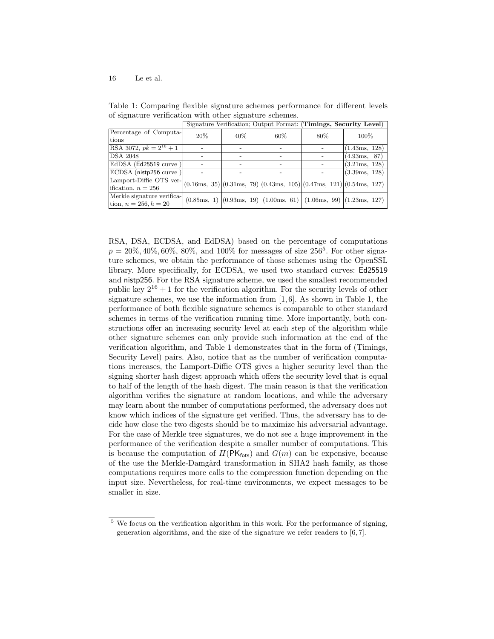|                             | Signature Verification; Output Format: (Timings, Security Level) |        |                                                                                                                       |        |                                                                                                           |
|-----------------------------|------------------------------------------------------------------|--------|-----------------------------------------------------------------------------------------------------------------------|--------|-----------------------------------------------------------------------------------------------------------|
| Percentage of Computa-      | $20\%$                                                           | $40\%$ | 60%                                                                                                                   | $80\%$ | $100\%$                                                                                                   |
| tions                       |                                                                  |        |                                                                                                                       |        |                                                                                                           |
| RSA 3072, $pk = 2^{16} + 1$ |                                                                  |        |                                                                                                                       |        | (1.43ms, 128)                                                                                             |
| <b>DSA 2048</b>             |                                                                  |        |                                                                                                                       |        | (4.93ms, 87)                                                                                              |
| EdDSA (Ed25519 curve)       |                                                                  |        |                                                                                                                       |        | (3.21ms, 128)                                                                                             |
| ECDSA (nistp256 curve )     |                                                                  |        |                                                                                                                       |        | (3.39ms, 128)                                                                                             |
| Lamport-Diffie OTS ver-     |                                                                  |        |                                                                                                                       |        | $ (0.16\text{ms}, 35) (0.31\text{ms}, 79) (0.43\text{ms}, 105) (0.47\text{ms}, 121) (0.54\text{ms}, 127)$ |
| ification, $n = 256$        |                                                                  |        |                                                                                                                       |        |                                                                                                           |
| Merkle signature verifica-  |                                                                  |        | $(0.85 \text{ms}, 1)$ $ (0.93 \text{ms}, 19) $ $(1.00 \text{ms}, 61)$ $(1.06 \text{ms}, 99)$ $ (1.23 \text{ms}, 127)$ |        |                                                                                                           |
| tion, $n = 256, h = 20$     |                                                                  |        |                                                                                                                       |        |                                                                                                           |

Table 1: Comparing flexible signature schemes performance for different levels of signature verification with other signature schemes.

RSA, DSA, ECDSA, and EdDSA) based on the percentage of computations  $p = 20\%, 40\%, 60\%, 80\%, \text{ and } 100\% \text{ for messages of size } 256^5.$  For other signature schemes, we obtain the performance of those schemes using the OpenSSL library. More specifically, for ECDSA, we used two standard curves: Ed25519 and nistp256. For the RSA signature scheme, we used the smallest recommended public key  $2^{16} + 1$  for the verification algorithm. For the security levels of other signature schemes, we use the information from  $[1, 6]$ . As shown in Table 1, the performance of both flexible signature schemes is comparable to other standard schemes in terms of the verification running time. More importantly, both constructions offer an increasing security level at each step of the algorithm while other signature schemes can only provide such information at the end of the verification algorithm, and Table 1 demonstrates that in the form of (Timings, Security Level) pairs. Also, notice that as the number of verification computations increases, the Lamport-Diffie OTS gives a higher security level than the signing shorter hash digest approach which offers the security level that is equal to half of the length of the hash digest. The main reason is that the verification algorithm verifies the signature at random locations, and while the adversary may learn about the number of computations performed, the adversary does not know which indices of the signature get verified. Thus, the adversary has to decide how close the two digests should be to maximize his adversarial advantage. For the case of Merkle tree signatures, we do not see a huge improvement in the performance of the verification despite a smaller number of computations. This is because the computation of  $H(\mathsf{PK}_{\mathsf{fots}})$  and  $G(m)$  can be expensive, because of the use the Merkle-Damgård transformation in SHA2 hash family, as those computations requires more calls to the compression function depending on the input size. Nevertheless, for real-time environments, we expect messages to be smaller in size.

<sup>&</sup>lt;sup>5</sup> We focus on the verification algorithm in this work. For the performance of signing, generation algorithms, and the size of the signature we refer readers to [6, 7].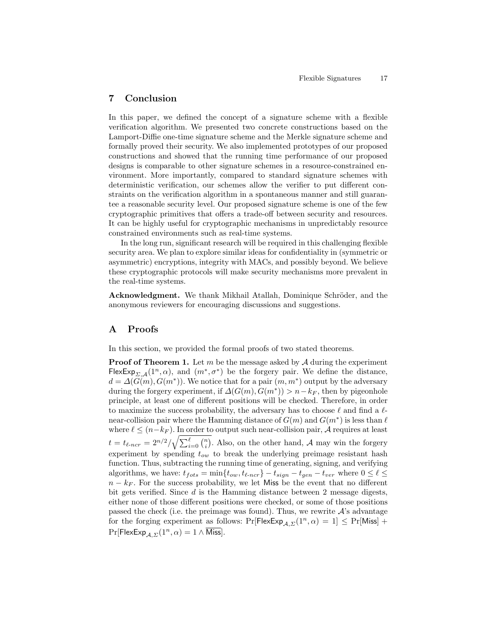# 7 Conclusion

In this paper, we defined the concept of a signature scheme with a flexible verification algorithm. We presented two concrete constructions based on the Lamport-Diffie one-time signature scheme and the Merkle signature scheme and formally proved their security. We also implemented prototypes of our proposed constructions and showed that the running time performance of our proposed designs is comparable to other signature schemes in a resource-constrained environment. More importantly, compared to standard signature schemes with deterministic verification, our schemes allow the verifier to put different constraints on the verification algorithm in a spontaneous manner and still guarantee a reasonable security level. Our proposed signature scheme is one of the few cryptographic primitives that offers a trade-off between security and resources. It can be highly useful for cryptographic mechanisms in unpredictably resource constrained environments such as real-time systems.

In the long run, significant research will be required in this challenging flexible security area. We plan to explore similar ideas for confidentiality in (symmetric or asymmetric) encryptions, integrity with MACs, and possibly beyond. We believe these cryptographic protocols will make security mechanisms more prevalent in the real-time systems.

**Acknowledgment.** We thank Mikhail Atallah, Dominique Schröder, and the anonymous reviewers for encouraging discussions and suggestions.

# A Proofs

In this section, we provided the formal proofs of two stated theorems.

**Proof of Theorem 1.** Let m be the message asked by  $\mathcal A$  during the experiment FlexExp<sub> $\Sigma,\mathcal{A}(1^n,\alpha)$ </sub>, and  $(m^*,\sigma^*)$  be the forgery pair. We define the distance,  $d = \Delta(G(m), G(m^*))$ . We notice that for a pair  $(m, m^*)$  output by the adversary during the forgery experiment, if  $\Delta(G(m), G(m^*)) > n - k_F$ , then by pigeonhole principle, at least one of different positions will be checked. Therefore, in order to maximize the success probability, the adversary has to choose  $\ell$  and find a  $\ell$ near-collision pair where the Hamming distance of  $G(m)$  and  $G(m^*)$  is less than  $\ell$ where  $\ell \leq (n-k_F)$ . In order to output such near-collision pair, A requires at least  $t = t_{\ell-ncr} = 2^{n/2} / \sqrt{\sum_{i=0}^{\ell} {n \choose i}}$ . Also, on the other hand, A may win the forgery experiment by spending  $t_{ow}$  to break the underlying preimage resistant hash function. Thus, subtracting the running time of generating, signing, and verifying algorithms, we have:  $t_{fots} = \min\{t_{ow}, t_{\ell-ncr}\} - t_{sign} - t_{gen} - t_{ver}$  where  $0 \leq \ell \leq$  $n - k_F$ . For the success probability, we let Miss be the event that no different bit gets verified. Since  $d$  is the Hamming distance between 2 message digests, either none of those different positions were checked, or some of those positions passed the check (i.e. the preimage was found). Thus, we rewrite  $\mathcal{A}$ 's advantage for the forging experiment as follows:  $Pr[Fe \times E \times p_A \nabla (1^n, \alpha) = 1] \leq Pr[Miss] +$  $Pr[FlexExp_{\mathcal{A},\Sigma}(1^n,\alpha) = 1 \wedge \overline{\text{Miss}}].$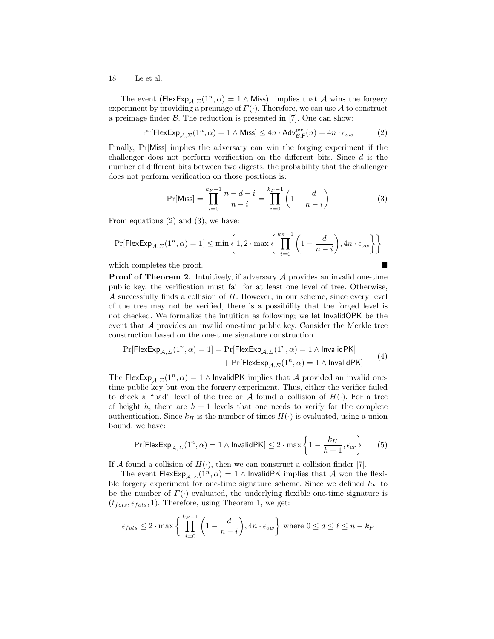The event (FlexExp<sub>A,  $\Sigma(1^n, \alpha) = 1 \wedge \overline{\text{Miss}}$ ) implies that A wins the forgery</sub> experiment by providing a preimage of  $F(\cdot)$ . Therefore, we can use A to construct a preimage finder  $\beta$ . The reduction is presented in [7]. One can show:

$$
\Pr[\mathsf{FlexExp}_{\mathcal{A}, \Sigma}(1^n, \alpha) = 1 \land \overline{\mathsf{Miss}}] \le 4n \cdot \mathsf{Adv}_{\mathcal{B}, \mathsf{F}}^{\mathsf{pre}}(n) = 4n \cdot \epsilon_{ow} \tag{2}
$$

Finally, Pr[Miss] implies the adversary can win the forging experiment if the challenger does not perform verification on the different bits. Since  $d$  is the number of different bits between two digests, the probability that the challenger does not perform verification on those positions is:

$$
\Pr[\text{Miss}] = \prod_{i=0}^{k_F - 1} \frac{n - d - i}{n - i} = \prod_{i=0}^{k_F - 1} \left( 1 - \frac{d}{n - i} \right) \tag{3}
$$

From equations  $(2)$  and  $(3)$ , we have:

$$
\Pr[\mathsf{FlexExp}_{\mathcal{A}, \Sigma}(1^n, \alpha) = 1] \le \min\left\{1, 2 \cdot \max\left\{\prod_{i=0}^{k_F - 1} \left(1 - \frac{d}{n - i}\right), 4n \cdot \epsilon_{ow}\right\}\right\}
$$

which completes the proof.

**Proof of Theorem 2.** Intuitively, if adversary  $A$  provides an invalid one-time public key, the verification must fail for at least one level of tree. Otherwise,  $A$  successfully finds a collision of  $H$ . However, in our scheme, since every level of the tree may not be verified, there is a possibility that the forged level is not checked. We formalize the intuition as following; we let InvalidOPK be the event that A provides an invalid one-time public key. Consider the Merkle tree construction based on the one-time signature construction.

$$
\begin{aligned} \Pr[\mathsf{FlexExp}_{\mathcal{A}, \varSigma}(1^n, \alpha) = 1] & = \Pr[\mathsf{FlexExp}_{\mathcal{A}, \varSigma}(1^n, \alpha) = 1 \wedge \mathsf{InvalidPK}] \\ & + \Pr[\mathsf{FlexExp}_{\mathcal{A}, \varSigma}(1^n, \alpha) = 1 \wedge \overline{\mathsf{InvalidPK}}] \end{aligned} \tag{4}
$$

The FlexExp<sub>A,  $\Sigma$ </sub> $(1^n, \alpha) = 1 \wedge$  InvalidPK implies that A provided an invalid onetime public key but won the forgery experiment. Thus, either the verifier failed to check a "bad" level of the tree or A found a collision of  $H(\cdot)$ . For a tree of height h, there are  $h + 1$  levels that one needs to verify for the complete authentication. Since  $k_H$  is the number of times  $H(\cdot)$  is evaluated, using a union bound, we have:

$$
\Pr[\mathsf{FlexExp}_{\mathcal{A}, \Sigma}(1^n, \alpha) = 1 \land \mathsf{InvalidPK}] \le 2 \cdot \max\left\{1 - \frac{k_H}{h+1}, \epsilon_{cr}\right\} \tag{5}
$$

If A found a collision of  $H(\cdot)$ , then we can construct a collision finder [7].

The event FlexExp<sub>A,  $\Sigma(1^n, \alpha) = 1 \wedge$  InvalidPK implies that A won the flexi-</sub> ble forgery experiment for one-time signature scheme. Since we defined  $k_F$  to be the number of  $F(\cdot)$  evaluated, the underlying flexible one-time signature is  $(t_{fots}, \epsilon_{fots}, 1)$ . Therefore, using Theorem 1, we get:

$$
\epsilon_{fots} \le 2 \cdot \max \left\{ \prod_{i=0}^{k_F-1} \left(1 - \frac{d}{n-i}\right), 4n \cdot \epsilon_{ow} \right\}
$$
 where  $0 \le d \le \ell \le n - k_F$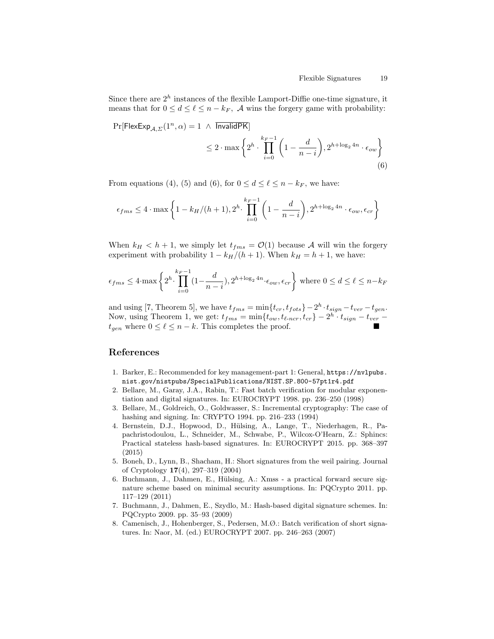Since there are  $2^h$  instances of the flexible Lamport-Diffie one-time signature, it means that for  $0 \leq d \leq \ell \leq n - k_F$ , A wins the forgery game with probability:

 $\Pr[\mathsf{FlexExp}_{\mathcal{A}, \Sigma}(1^n, \alpha) = 1 \;\wedge\; \overline{\mathsf{InvalidPK}}]$ 

$$
\leq 2 \cdot \max \left\{ 2^h \cdot \prod_{i=0}^{k_F - 1} \left( 1 - \frac{d}{n - i} \right), 2^{h + \log_2 4n} \cdot \epsilon_{ow} \right\}
$$
(6)

From equations (4), (5) and (6), for  $0 \le d \le \ell \le n - k_F$ , we have:

$$
\epsilon_{fms} \leq 4 \cdot \max\left\{1 - \frac{k_H}{(h+1)}, 2^h \cdot \prod_{i=0}^{k_F-1} \left(1 - \frac{d}{n-i}\right), 2^{h+\log_2 4n} \cdot \epsilon_{ow}, \epsilon_{cr}\right\}
$$

When  $k_H < h + 1$ , we simply let  $t_{fms} = \mathcal{O}(1)$  because A will win the forgery experiment with probability  $1 - k_H/(h + 1)$ . When  $k_H = h + 1$ , we have:

$$
\epsilon_{fms} \leq 4 \cdot \max \left\{ 2^h \cdot \prod_{i=0}^{k_F-1} \left(1 - \frac{d}{n-i}\right), 2^{h + \log_2 4n} \cdot \epsilon_{ow}, \epsilon_{cr} \right\} \text{ where } 0 \leq d \leq \ell \leq n - k_F
$$

and using [7, Theorem 5], we have  $t_{fms} = \min\{t_{cr}, t_{fots}\} - 2^h \cdot t_{sign} - t_{ver} - t_{gen}$ . Now, using Theorem 1, we get:  $t_{fms} = \min\{t_{ow}, t_{\ell-ncr}, t_{cr}\} - 2^h \cdot t_{sign} - t_{ver}$  $t_{gen}$  where  $0 \leq \ell \leq n - k$ . This completes the proof.

# References

- 1. Barker, E.: Recommended for key management-part 1: General, https://nvlpubs. nist.gov/nistpubs/SpecialPublications/NIST.SP.800-57pt1r4.pdf
- 2. Bellare, M., Garay, J.A., Rabin, T.: Fast batch verification for modular exponentiation and digital signatures. In: EUROCRYPT 1998. pp. 236–250 (1998)
- 3. Bellare, M., Goldreich, O., Goldwasser, S.: Incremental cryptography: The case of hashing and signing. In: CRYPTO 1994. pp. 216–233 (1994)
- 4. Bernstein, D.J., Hopwood, D., Hülsing, A., Lange, T., Niederhagen, R., Papachristodoulou, L., Schneider, M., Schwabe, P., Wilcox-O'Hearn, Z.: Sphincs: Practical stateless hash-based signatures. In: EUROCRYPT 2015. pp. 368–397 (2015)
- 5. Boneh, D., Lynn, B., Shacham, H.: Short signatures from the weil pairing. Journal of Cryptology 17(4), 297–319 (2004)
- 6. Buchmann, J., Dahmen, E., Hülsing, A.: Xmss a practical forward secure signature scheme based on minimal security assumptions. In: PQCrypto 2011. pp. 117–129 (2011)
- 7. Buchmann, J., Dahmen, E., Szydlo, M.: Hash-based digital signature schemes. In: PQCrypto 2009. pp. 35–93 (2009)
- 8. Camenisch, J., Hohenberger, S., Pedersen, M.Ø.: Batch verification of short signatures. In: Naor, M. (ed.) EUROCRYPT 2007. pp. 246–263 (2007)